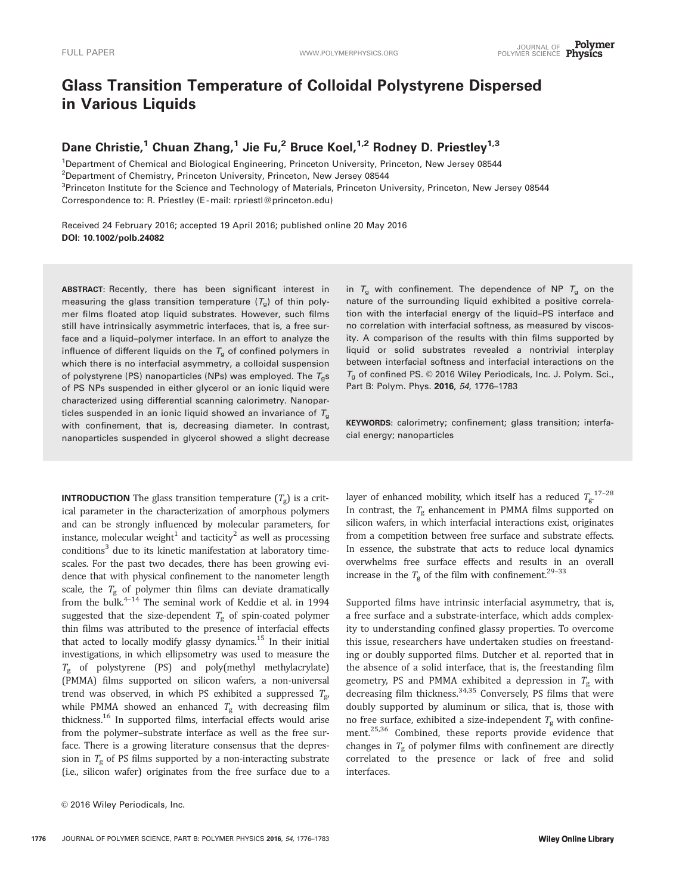# Glass Transition Temperature of Colloidal Polystyrene Dispersed in Various Liquids

## Dane Christie,<sup>1</sup> Chuan Zhang,<sup>1</sup> Jie Fu,<sup>2</sup> Bruce Koel,<sup>1,2</sup> Rodney D. Priestley<sup>1,3</sup>

<sup>1</sup>Department of Chemical and Biological Engineering, Princeton University, Princeton, New Jersey 08544 <sup>2</sup>Department of Chemistry, Princeton University, Princeton, New Jersey 08544 <sup>3</sup>Princeton Institute for the Science and Technology of Materials, Princeton University, Princeton, New Jersey 08544 Correspondence to: R. Priestley (E -mail: rpriestl@princeton.edu)

Received 24 February 2016; accepted 19 April 2016; published online 20 May 2016 DOI: 10.1002/polb.24082

ABSTRACT: Recently, there has been significant interest in measuring the glass transition temperature  $(T<sub>g</sub>)$  of thin polymer films floated atop liquid substrates. However, such films still have intrinsically asymmetric interfaces, that is, a free surface and a liquid–polymer interface. In an effort to analyze the influence of different liquids on the  $T_g$  of confined polymers in which there is no interfacial asymmetry, a colloidal suspension of polystyrene (PS) nanoparticles (NPs) was employed. The  $T_{q}$ s of PS NPs suspended in either glycerol or an ionic liquid were characterized using differential scanning calorimetry. Nanoparticles suspended in an ionic liquid showed an invariance of  $T<sub>g</sub>$ with confinement, that is, decreasing diameter. In contrast, nanoparticles suspended in glycerol showed a slight decrease

**INTRODUCTION** The glass transition temperature  $(T_g)$  is a critical parameter in the characterization of amorphous polymers and can be strongly influenced by molecular parameters, for instance, molecular weight<sup>1</sup> and tacticity<sup>2</sup> as well as processing conditions<sup>3</sup> due to its kinetic manifestation at laboratory timescales. For the past two decades, there has been growing evidence that with physical confinement to the nanometer length scale, the  $T_g$  of polymer thin films can deviate dramatically from the bulk.<sup>4-14</sup> The seminal work of Keddie et al. in 1994 suggested that the size-dependent  $T_g$  of spin-coated polymer thin films was attributed to the presence of interfacial effects that acted to locally modify glassy dynamics.<sup>15</sup> In their initial investigations, in which ellipsometry was used to measure the  $T_g$  of polystyrene (PS) and poly(methyl methylacrylate) (PMMA) films supported on silicon wafers, a non-universal trend was observed, in which PS exhibited a suppressed  $T_{\rm g}$ , while PMMA showed an enhanced  $T_g$  with decreasing film thickness.16 In supported films, interfacial effects would arise from the polymer–substrate interface as well as the free surface. There is a growing literature consensus that the depression in  $T_g$  of PS films supported by a non-interacting substrate (i.e., silicon wafer) originates from the free surface due to a

in  $T_g$  with confinement. The dependence of NP  $T_g$  on the nature of the surrounding liquid exhibited a positive correlation with the interfacial energy of the liquid–PS interface and no correlation with interfacial softness, as measured by viscosity. A comparison of the results with thin films supported by liquid or solid substrates revealed a nontrivial interplay between interfacial softness and interfacial interactions on the  $T_g$  of confined PS.  $\odot$  2016 Wiley Periodicals, Inc. J. Polym. Sci., Part B: Polym. Phys. 2016, 54, 1776-1783

KEYWORDS: calorimetry; confinement; glass transition; interfacial energy; nanoparticles

layer of enhanced mobility, which itself has a reduced  $T_{\rm g}^{17-28}$ In contrast, the  $T_g$  enhancement in PMMA films supported on silicon wafers, in which interfacial interactions exist, originates from a competition between free surface and substrate effects. In essence, the substrate that acts to reduce local dynamics overwhelms free surface effects and results in an overall increase in the  $T_{\rm g}$  of the film with confinement.  $^{29-33}$ 

Supported films have intrinsic interfacial asymmetry, that is, a free surface and a substrate-interface, which adds complexity to understanding confined glassy properties. To overcome this issue, researchers have undertaken studies on freestanding or doubly supported films. Dutcher et al. reported that in the absence of a solid interface, that is, the freestanding film geometry, PS and PMMA exhibited a depression in  $T_g$  with decreasing film thickness.  $34,35$  Conversely, PS films that were doubly supported by aluminum or silica, that is, those with no free surface, exhibited a size-independent  $T_g$  with confinement.<sup>25,36</sup> Combined, these reports provide evidence that changes in  $T_g$  of polymer films with confinement are directly correlated to the presence or lack of free and solid interfaces.

<sup>© 2016</sup> Wiley Periodicals, Inc.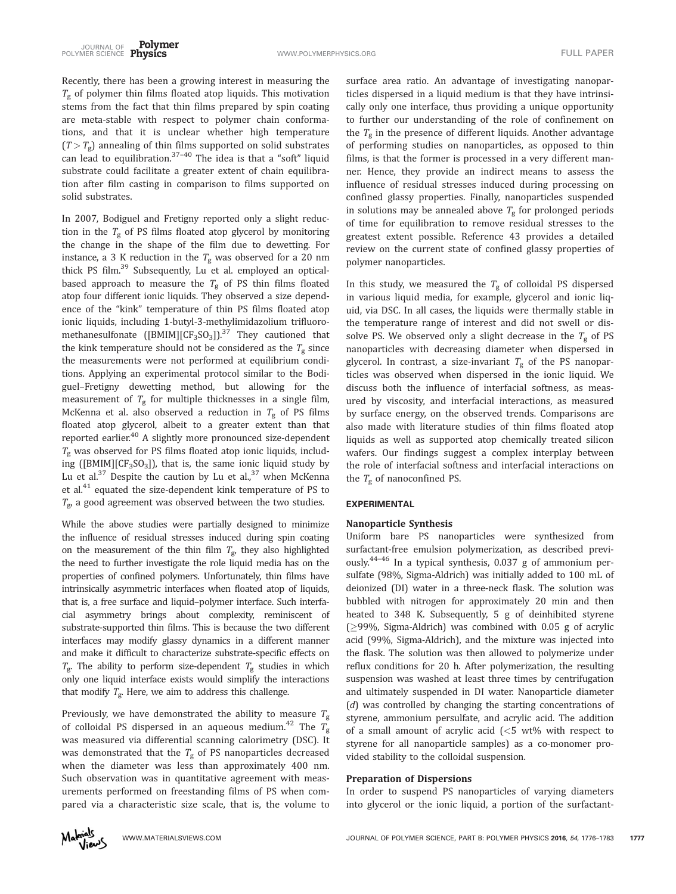Recently, there has been a growing interest in measuring the  $T_{g}$  of polymer thin films floated atop liquids. This motivation stems from the fact that thin films prepared by spin coating are meta-stable with respect to polymer chain conformations, and that it is unclear whether high temperature  $(T > T_{\varphi})$  annealing of thin films supported on solid substrates can lead to equilibration.37–40 The idea is that a "soft" liquid substrate could facilitate a greater extent of chain equilibration after film casting in comparison to films supported on solid substrates.

In 2007, Bodiguel and Fretigny reported only a slight reduction in the  $T_g$  of PS films floated atop glycerol by monitoring the change in the shape of the film due to dewetting. For instance, a 3 K reduction in the  $T_{\rm g}$  was observed for a 20 nm thick PS film.39 Subsequently, Lu et al. employed an opticalbased approach to measure the  $T_g$  of PS thin films floated atop four different ionic liquids. They observed a size dependence of the "kink" temperature of thin PS films floated atop ionic liquids, including 1-butyl-3-methylimidazolium trifluoromethanesulfonate ([BMIM][CF<sub>3</sub>SO<sub>3</sub>]).<sup>37</sup> They cautioned that the kink temperature should not be considered as the  $T_g$  since the measurements were not performed at equilibrium conditions. Applying an experimental protocol similar to the Bodiguel–Fretigny dewetting method, but allowing for the measurement of  $T_g$  for multiple thicknesses in a single film, McKenna et al. also observed a reduction in  $T_g$  of PS films floated atop glycerol, albeit to a greater extent than that reported earlier.<sup>40</sup> A slightly more pronounced size-dependent  $T_g$  was observed for PS films floated atop ionic liquids, including ( $[BMIM][CF<sub>3</sub>SO<sub>3</sub>]$ ), that is, the same ionic liquid study by Lu et al. $37$  Despite the caution by Lu et al.,  $37$  when McKenna et al.<sup>41</sup> equated the size-dependent kink temperature of PS to  $T_{g}$ , a good agreement was observed between the two studies.

While the above studies were partially designed to minimize the influence of residual stresses induced during spin coating on the measurement of the thin film  $T_{\varrho}$ , they also highlighted the need to further investigate the role liquid media has on the properties of confined polymers. Unfortunately, thin films have intrinsically asymmetric interfaces when floated atop of liquids, that is, a free surface and liquid–polymer interface. Such interfacial asymmetry brings about complexity, reminiscent of substrate-supported thin films. This is because the two different interfaces may modify glassy dynamics in a different manner and make it difficult to characterize substrate-specific effects on  $T_{\rm g}$ . The ability to perform size-dependent  $T_{\rm g}$  studies in which only one liquid interface exists would simplify the interactions that modify  $T_{\rm g}$ . Here, we aim to address this challenge.

Previously, we have demonstrated the ability to measure  $T_{\rm g}$ of colloidal PS dispersed in an aqueous medium.<sup>42</sup> The  $T_g$ was measured via differential scanning calorimetry (DSC). It was demonstrated that the  $T_g$  of PS nanoparticles decreased when the diameter was less than approximately 400 nm. Such observation was in quantitative agreement with measurements performed on freestanding films of PS when compared via a characteristic size scale, that is, the volume to

surface area ratio. An advantage of investigating nanoparticles dispersed in a liquid medium is that they have intrinsically only one interface, thus providing a unique opportunity to further our understanding of the role of confinement on the  $T_g$  in the presence of different liquids. Another advantage of performing studies on nanoparticles, as opposed to thin films, is that the former is processed in a very different manner. Hence, they provide an indirect means to assess the influence of residual stresses induced during processing on confined glassy properties. Finally, nanoparticles suspended in solutions may be annealed above  $T_g$  for prolonged periods of time for equilibration to remove residual stresses to the greatest extent possible. Reference 43 provides a detailed review on the current state of confined glassy properties of polymer nanoparticles.

In this study, we measured the  $T_g$  of colloidal PS dispersed in various liquid media, for example, glycerol and ionic liquid, via DSC. In all cases, the liquids were thermally stable in the temperature range of interest and did not swell or dissolve PS. We observed only a slight decrease in the  $T_g$  of PS nanoparticles with decreasing diameter when dispersed in glycerol. In contrast, a size-invariant  $T_g$  of the PS nanoparticles was observed when dispersed in the ionic liquid. We discuss both the influence of interfacial softness, as measured by viscosity, and interfacial interactions, as measured by surface energy, on the observed trends. Comparisons are also made with literature studies of thin films floated atop liquids as well as supported atop chemically treated silicon wafers. Our findings suggest a complex interplay between the role of interfacial softness and interfacial interactions on the  $T_{\rm g}$  of nanoconfined PS.

## EXPERIMENTAL

#### Nanoparticle Synthesis

Uniform bare PS nanoparticles were synthesized from surfactant-free emulsion polymerization, as described previously.44–46 In a typical synthesis, 0.037 g of ammonium persulfate (98%, Sigma-Aldrich) was initially added to 100 mL of deionized (DI) water in a three-neck flask. The solution was bubbled with nitrogen for approximately 20 min and then heated to 348 K. Subsequently, 5 g of deinhibited styrene  $\geq$ 99%, Sigma-Aldrich) was combined with 0.05 g of acrylic acid (99%, Sigma-Aldrich), and the mixture was injected into the flask. The solution was then allowed to polymerize under reflux conditions for 20 h. After polymerization, the resulting suspension was washed at least three times by centrifugation and ultimately suspended in DI water. Nanoparticle diameter (d) was controlled by changing the starting concentrations of styrene, ammonium persulfate, and acrylic acid. The addition of a small amount of acrylic acid (<5 wt% with respect to styrene for all nanoparticle samples) as a co-monomer provided stability to the colloidal suspension.

## Preparation of Dispersions

In order to suspend PS nanoparticles of varying diameters into glycerol or the ionic liquid, a portion of the surfactant-

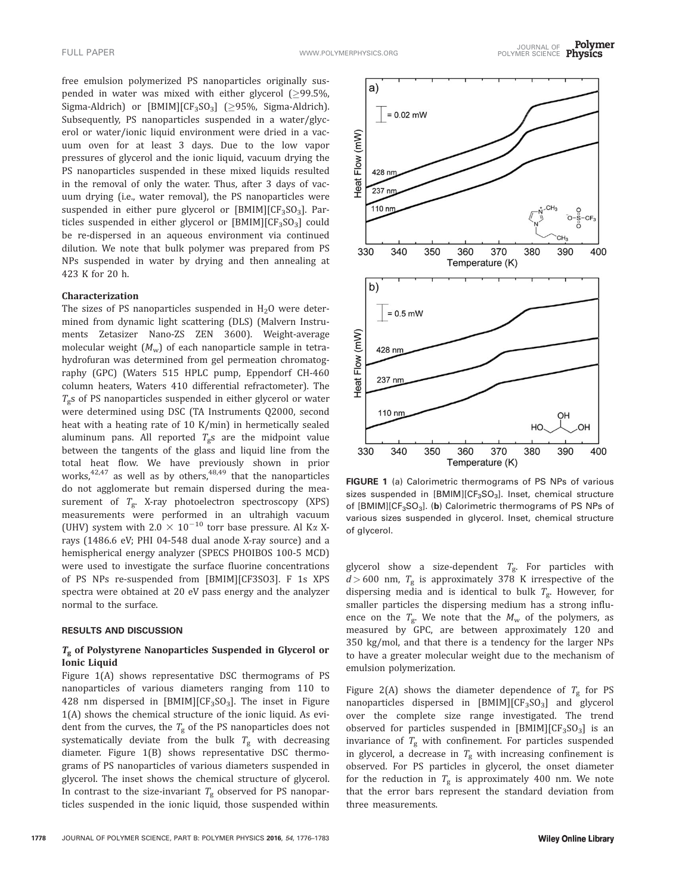free emulsion polymerized PS nanoparticles originally suspended in water was mixed with either glycerol ( $\geq$ 99.5%, Sigma-Aldrich) or [BMIM][CF<sub>3</sub>SO<sub>3</sub>] ( $\geq$ 95%, Sigma-Aldrich). Subsequently, PS nanoparticles suspended in a water/glycerol or water/ionic liquid environment were dried in a vacuum oven for at least 3 days. Due to the low vapor pressures of glycerol and the ionic liquid, vacuum drying the PS nanoparticles suspended in these mixed liquids resulted in the removal of only the water. Thus, after 3 days of vacuum drying (i.e., water removal), the PS nanoparticles were suspended in either pure glycerol or  $[BMIM][CF_3SO_3]$ . Particles suspended in either glycerol or  $[BMIM][CF_3SO_3]$  could be re-dispersed in an aqueous environment via continued dilution. We note that bulk polymer was prepared from PS NPs suspended in water by drying and then annealing at 423 K for 20 h.

## Characterization

The sizes of PS nanoparticles suspended in  $H_2O$  were determined from dynamic light scattering (DLS) (Malvern Instruments Zetasizer Nano-ZS ZEN 3600). Weight-average molecular weight  $(M_w)$  of each nanoparticle sample in tetrahydrofuran was determined from gel permeation chromatography (GPC) (Waters 515 HPLC pump, Eppendorf CH-460 column heaters, Waters 410 differential refractometer). The  $T<sub>g</sub>$ s of PS nanoparticles suspended in either glycerol or water were determined using DSC (TA Instruments Q2000, second heat with a heating rate of 10 K/min) in hermetically sealed aluminum pans. All reported  $T_{\rm g}$ s are the midpoint value between the tangents of the glass and liquid line from the total heat flow. We have previously shown in prior works, $42,47$  as well as by others, $48,49$  that the nanoparticles do not agglomerate but remain dispersed during the measurement of  $T_{\text{g}}$ . X-ray photoelectron spectroscopy (XPS) measurements were performed in an ultrahigh vacuum (UHV) system with 2.0  $\times$  10<sup>-10</sup> torr base pressure. Al K $\alpha$  Xrays (1486.6 eV; PHI 04-548 dual anode X-ray source) and a hemispherical energy analyzer (SPECS PHOIBOS 100-5 MCD) were used to investigate the surface fluorine concentrations of PS NPs re-suspended from [BMIM][CF3SO3]. F 1s XPS spectra were obtained at 20 eV pass energy and the analyzer normal to the surface.

#### RESULTS AND DISCUSSION

## $T_g$  of Polystyrene Nanoparticles Suspended in Glycerol or Ionic Liquid

Figure 1(A) shows representative DSC thermograms of PS nanoparticles of various diameters ranging from 110 to 428 nm dispersed in  $[BMIM][CF<sub>3</sub>SO<sub>3</sub>]$ . The inset in Figure 1(A) shows the chemical structure of the ionic liquid. As evident from the curves, the  $T_g$  of the PS nanoparticles does not systematically deviate from the bulk  $T_{\rm g}$  with decreasing diameter. Figure 1(B) shows representative DSC thermograms of PS nanoparticles of various diameters suspended in glycerol. The inset shows the chemical structure of glycerol. In contrast to the size-invariant  $T_g$  observed for PS nanoparticles suspended in the ionic liquid, those suspended within



FIGURE 1 (a) Calorimetric thermograms of PS NPs of various sizes suspended in [BMIM][CF<sub>3</sub>SO<sub>3</sub>]. Inset, chemical structure of  $[BMIM][CF<sub>3</sub>SO<sub>3</sub>]$ . (b) Calorimetric thermograms of PS NPs of various sizes suspended in glycerol. Inset, chemical structure of glycerol.

glycerol show a size-dependent  $T_{\rm g}$ . For particles with  $d > 600$  nm,  $T_g$  is approximately 378 K irrespective of the dispersing media and is identical to bulk  $T_{g}$ . However, for smaller particles the dispersing medium has a strong influence on the  $T_{\rm g}$ . We note that the  $M_{\rm w}$  of the polymers, as measured by GPC, are between approximately 120 and 350 kg/mol, and that there is a tendency for the larger NPs to have a greater molecular weight due to the mechanism of emulsion polymerization.

Figure 2(A) shows the diameter dependence of  $T_g$  for PS nanoparticles dispersed in  $[BMM][CF_3SO_3]$  and glycerol over the complete size range investigated. The trend observed for particles suspended in  $[BMIM][CF_3SO_3]$  is an invariance of  $T_g$  with confinement. For particles suspended in glycerol, a decrease in  $T_{\rm g}$  with increasing confinement is observed. For PS particles in glycerol, the onset diameter for the reduction in  $T_g$  is approximately 400 nm. We note that the error bars represent the standard deviation from three measurements.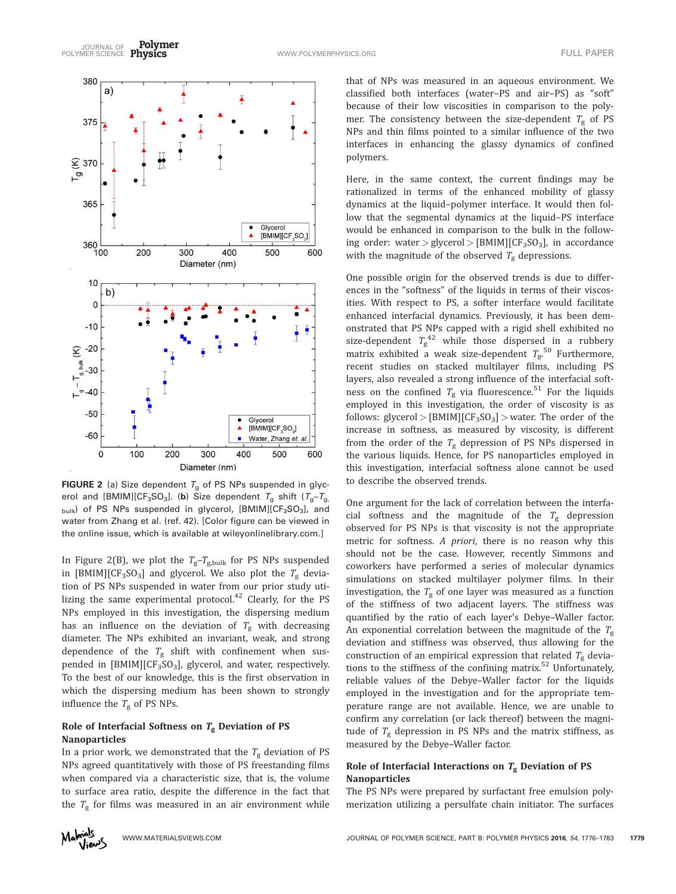

**FIGURE 2** (a) Size dependent  $T_g$  of PS NPs suspended in glycerol and [BMIM][CF<sub>3</sub>SO<sub>3</sub>]. (b) Size dependent  $T_g$  shift ( $T_g - T_g$ ,  $_{\text{bulk}}$ ) of PS NPs suspended in glycerol, [BMIM][CF<sub>3</sub>SO<sub>3</sub>], and water from Zhang et al. (ref. 42). [Color figure can be viewed in the online issue, which is available at [wileyonlinelibrary.com](http://wileyonlinelibrary.com).]

In Figure 2(B), we plot the  $T_g - T_{g,bulk}$  for PS NPs suspended in [BMIM][CF<sub>3</sub>SO<sub>3</sub>] and glycerol. We also plot the  $T_g$  deviation of PS NPs suspended in water from our prior study utilizing the same experimental protocol.<sup>42</sup> Clearly, for the PS NPs employed in this investigation, the dispersing medium has an influence on the deviation of  $T_g$  with decreasing diameter. The NPs exhibited an invariant, weak, and strong dependence of the  $T_g$  shift with confinement when suspended in  $[BMM][CF_3SO_3]$ , glycerol, and water, respectively. To the best of our knowledge, this is the first observation in which the dispersing medium has been shown to strongly influence the  $T_g$  of PS NPs.

## Role of Interfacial Softness on  $T_g$  Deviation of PS Nanoparticles

In a prior work, we demonstrated that the  $T_g$  deviation of PS NPs agreed quantitatively with those of PS freestanding films when compared via a characteristic size, that is, the volume to surface area ratio, despite the difference in the fact that the  $T_g$  for films was measured in an air environment while

that of NPs was measured in an aqueous environment. We classified both interfaces (water–PS and air–PS) as "soft" because of their low viscosities in comparison to the polymer. The consistency between the size-dependent  $T_{\rm g}$  of PS NPs and thin films pointed to a similar influence of the two interfaces in enhancing the glassy dynamics of confined polymers.

Here, in the same context, the current findings may be rationalized in terms of the enhanced mobility of glassy dynamics at the liquid–polymer interface. It would then follow that the segmental dynamics at the liquid–PS interface would be enhanced in comparison to the bulk in the following order: water > glycerol > [BMIM][CF<sub>3</sub>SO<sub>3</sub>], in accordance with the magnitude of the observed  $T_g$  depressions.

One possible origin for the observed trends is due to differences in the "softness" of the liquids in terms of their viscosities. With respect to PS, a softer interface would facilitate enhanced interfacial dynamics. Previously, it has been demonstrated that PS NPs capped with a rigid shell exhibited no size-dependent  $T_{\rm g}^{42}$  while those dispersed in a rubbery matrix exhibited a weak size-dependent  $T_{\rm g}^{\,\rm 50}$  Furthermore, recent studies on stacked multilayer films, including PS layers, also revealed a strong influence of the interfacial softness on the confined  $T_{\rm g}$  via fluorescence.<sup>51</sup> For the liquids employed in this investigation, the order of viscosity is as follows: glycerol >  $[BMIM][CF_3SO_3]$  > water. The order of the increase in softness, as measured by viscosity, is different from the order of the  $T_g$  depression of PS NPs dispersed in the various liquids. Hence, for PS nanoparticles employed in this investigation, interfacial softness alone cannot be used to describe the observed trends.

One argument for the lack of correlation between the interfacial softness and the magnitude of the  $T_g$  depression observed for PS NPs is that viscosity is not the appropriate metric for softness. A priori, there is no reason why this should not be the case. However, recently Simmons and coworkers have performed a series of molecular dynamics simulations on stacked multilayer polymer films. In their investigation, the  $T_g$  of one layer was measured as a function of the stiffness of two adjacent layers. The stiffness was quantified by the ratio of each layer's Debye–Waller factor. An exponential correlation between the magnitude of the  $T_g$ deviation and stiffness was observed, thus allowing for the construction of an empirical expression that related  $T_g$  deviations to the stiffness of the confining matrix.<sup>52</sup> Unfortunately, reliable values of the Debye–Waller factor for the liquids employed in the investigation and for the appropriate temperature range are not available. Hence, we are unable to confirm any correlation (or lack thereof) between the magnitude of  $T_g$  depression in PS NPs and the matrix stiffness, as measured by the Debye–Waller factor.

## Role of Interfacial Interactions on  $T_g$  Deviation of PS Nanoparticles

The PS NPs were prepared by surfactant free emulsion polymerization utilizing a persulfate chain initiator. The surfaces

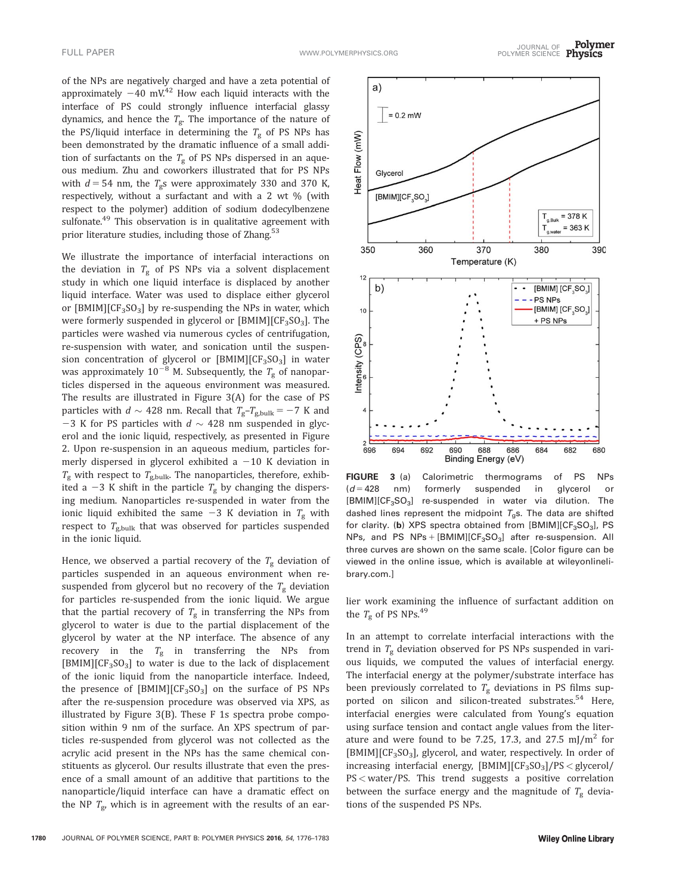of the NPs are negatively charged and have a zeta potential of approximately  $-40$  mV.<sup>42</sup> How each liquid interacts with the interface of PS could strongly influence interfacial glassy dynamics, and hence the  $T_{\rm g}$ . The importance of the nature of the PS/liquid interface in determining the  $T_g$  of PS NPs has been demonstrated by the dramatic influence of a small addition of surfactants on the  $T_g$  of PS NPs dispersed in an aqueous medium. Zhu and coworkers illustrated that for PS NPs with  $d = 54$  nm, the  $T_g$ s were approximately 330 and 370 K, respectively, without a surfactant and with a 2 wt % (with respect to the polymer) addition of sodium dodecylbenzene sulfonate.<sup>49</sup> This observation is in qualitative agreement with prior literature studies, including those of Zhang.<sup>53</sup>

We illustrate the importance of interfacial interactions on the deviation in  $T_g$  of PS NPs via a solvent displacement study in which one liquid interface is displaced by another liquid interface. Water was used to displace either glycerol or  $[BMM][CF_3SO_3]$  by re-suspending the NPs in water, which were formerly suspended in glycerol or  $[BMIM][CF<sub>3</sub>SO<sub>3</sub>]$ . The particles were washed via numerous cycles of centrifugation, re-suspension with water, and sonication until the suspension concentration of glycerol or  $[BMIM][CF<sub>3</sub>SO<sub>3</sub>]$  in water was approximately  $10^{-8}$  M. Subsequently, the  $T_g$  of nanoparticles dispersed in the aqueous environment was measured. The results are illustrated in Figure 3(A) for the case of PS particles with  $d \sim 428$  nm. Recall that  $T_g - T_{g, bulk} = -7$  K and -3 K for PS particles with  $d \sim 428$  nm suspended in glycerol and the ionic liquid, respectively, as presented in Figure 2. Upon re-suspension in an aqueous medium, particles formerly dispersed in glycerol exhibited a  $-10$  K deviation in  $T_{\rm g}$  with respect to  $T_{\rm g, bulk}$ . The nanoparticles, therefore, exhibited a -3 K shift in the particle  $T_g$  by changing the dispersing medium. Nanoparticles re-suspended in water from the ionic liquid exhibited the same  $-3$  K deviation in  $T_g$  with respect to  $T_{\text{g,bulk}}$  that was observed for particles suspended in the ionic liquid.

Hence, we observed a partial recovery of the  $T_g$  deviation of particles suspended in an aqueous environment when resuspended from glycerol but no recovery of the  $T_g$  deviation for particles re-suspended from the ionic liquid. We argue that the partial recovery of  $T_g$  in transferring the NPs from glycerol to water is due to the partial displacement of the glycerol by water at the NP interface. The absence of any recovery in the  $T_g$  in transferring the NPs from  $[BMIM][CF<sub>3</sub>SO<sub>3</sub>]$  to water is due to the lack of displacement of the ionic liquid from the nanoparticle interface. Indeed, the presence of  $[BMIM][CF_3SO_3]$  on the surface of PS NPs after the re-suspension procedure was observed via XPS, as illustrated by Figure 3(B). These F 1s spectra probe composition within 9 nm of the surface. An XPS spectrum of particles re-suspended from glycerol was not collected as the acrylic acid present in the NPs has the same chemical constituents as glycerol. Our results illustrate that even the presence of a small amount of an additive that partitions to the nanoparticle/liquid interface can have a dramatic effect on the NP  $T_{\text{g}}$ , which is in agreement with the results of an ear-



FIGURE 3 (a) Calorimetric thermograms of PS NPs  $(d = 428$  nm) formerly suspended in glycerol or  $[BMIM][CF<sub>3</sub>SO<sub>3</sub>]$  re-suspended in water via dilution. The dashed lines represent the midpoint  $T_{q}$ s. The data are shifted for clarity. (b) XPS spectra obtained from  $[BMIM][CF_3SO_3]$ , PS NPs, and PS  $NPs + [BMIM][CF<sub>3</sub>SO<sub>3</sub>]$  after re-suspension. All three curves are shown on the same scale. [Color figure can be viewed in the online issue, which is available at [wileyonlineli](http://wileyonlinelibrary.com)[brary.com](http://wileyonlinelibrary.com).]

lier work examining the influence of surfactant addition on the  $T_g$  of PS NPs.<sup>49</sup>

In an attempt to correlate interfacial interactions with the trend in  $T_{\rm g}$  deviation observed for PS NPs suspended in various liquids, we computed the values of interfacial energy. The interfacial energy at the polymer/substrate interface has been previously correlated to  $T_g$  deviations in PS films supported on silicon and silicon-treated substrates.<sup>54</sup> Here, interfacial energies were calculated from Young's equation using surface tension and contact angle values from the literature and were found to be 7.25, 17.3, and 27.5 mJ/m<sup>2</sup> for  $[BMIM][CF<sub>3</sub>SO<sub>3</sub>]$ , glycerol, and water, respectively. In order of  $increasing$  interfacial energy,  $[BMIM][CF_3SO_3]/PS < glycerol/$ PS < water/PS. This trend suggests a positive correlation between the surface energy and the magnitude of  $T_{\rm g}$  deviations of the suspended PS NPs.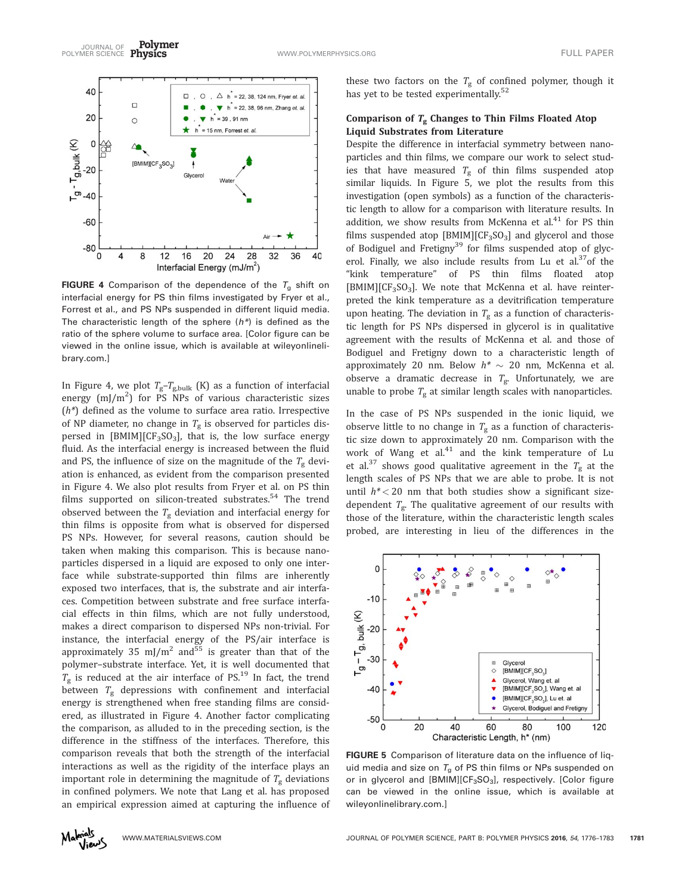Polymer JOURNAL OF TULL PAPER<br>POLYMER SCIENCE Physics The Contract of the Communication of the Contract of the Contract of Tull Paper



**FIGURE 4** Comparison of the dependence of the  $T_g$  shift on interfacial energy for PS thin films investigated by Fryer et al., Forrest et al., and PS NPs suspended in different liquid media. The characteristic length of the sphere  $(h^*)$  is defined as the ratio of the sphere volume to surface area. [Color figure can be viewed in the online issue, which is available at [wileyonlineli](http://wileyonlinelibrary.com)[brary.com.](http://wileyonlinelibrary.com)]

In Figure 4, we plot  $T_g - T_{g, bulk}$  (K) as a function of interfacial energy  $(m)/m^2$ ) for PS NPs of various characteristic sizes  $(h^*)$  defined as the volume to surface area ratio. Irrespective of NP diameter, no change in  $T_g$  is observed for particles dispersed in [BMIM][CF<sub>3</sub>SO<sub>3</sub>], that is, the low surface energy fluid. As the interfacial energy is increased between the fluid and PS, the influence of size on the magnitude of the  $T_g$  deviation is enhanced, as evident from the comparison presented in Figure 4. We also plot results from Fryer et al. on PS thin films supported on silicon-treated substrates.<sup>54</sup> The trend observed between the  $T_g$  deviation and interfacial energy for thin films is opposite from what is observed for dispersed PS NPs. However, for several reasons, caution should be taken when making this comparison. This is because nanoparticles dispersed in a liquid are exposed to only one interface while substrate-supported thin films are inherently exposed two interfaces, that is, the substrate and air interfaces. Competition between substrate and free surface interfacial effects in thin films, which are not fully understood, makes a direct comparison to dispersed NPs non-trivial. For instance, the interfacial energy of the PS/air interface is approximately 35 mJ/m<sup>2</sup> and<sup>55</sup> is greater than that of the polymer–substrate interface. Yet, it is well documented that  $T_{\rm g}$  is reduced at the air interface of PS.<sup>19</sup> In fact, the trend between  $T_g$  depressions with confinement and interfacial energy is strengthened when free standing films are considered, as illustrated in Figure 4. Another factor complicating the comparison, as alluded to in the preceding section, is the difference in the stiffness of the interfaces. Therefore, this comparison reveals that both the strength of the interfacial interactions as well as the rigidity of the interface plays an important role in determining the magnitude of  $T_g$  deviations in confined polymers. We note that Lang et al. has proposed an empirical expression aimed at capturing the influence of

these two factors on the  $T_{\rm g}$  of confined polymer, though it has yet to be tested experimentally.<sup>52</sup>

## Comparison of  $T_g$  Changes to Thin Films Floated Atop Liquid Substrates from Literature

Despite the difference in interfacial symmetry between nanoparticles and thin films, we compare our work to select studies that have measured  $T_{\rm g}$  of thin films suspended atop similar liquids. In Figure 5, we plot the results from this investigation (open symbols) as a function of the characteristic length to allow for a comparison with literature results. In addition, we show results from McKenna et al. $41$  for PS thin films suspended atop  $[BMIM][CF_3SO_3]$  and glycerol and those of Bodiguel and Fretigny<sup>39</sup> for films suspended atop of glycerol. Finally, we also include results from Lu et al. $37$ of the "kink temperature" of PS thin films floated atop  $[BMIM][CF<sub>3</sub>SO<sub>3</sub>]$ . We note that McKenna et al. have reinterpreted the kink temperature as a devitrification temperature upon heating. The deviation in  $T_g$  as a function of characteristic length for PS NPs dispersed in glycerol is in qualitative agreement with the results of McKenna et al. and those of Bodiguel and Fretigny down to a characteristic length of approximately 20 nm. Below  $h^* \sim 20$  nm, McKenna et al. observe a dramatic decrease in  $T_{\rm g}$ . Unfortunately, we are unable to probe  $T_{\rm g}$  at similar length scales with nanoparticles.

In the case of PS NPs suspended in the ionic liquid, we observe little to no change in  $T_g$  as a function of characteristic size down to approximately 20 nm. Comparison with the work of Wang et al.<sup>41</sup> and the kink temperature of Lu et al.<sup>37</sup> shows good qualitative agreement in the  $T_g$  at the length scales of PS NPs that we are able to probe. It is not until  $h^*$  < 20 nm that both studies show a significant sizedependent  $T_{\rm g}$ . The qualitative agreement of our results with those of the literature, within the characteristic length scales probed, are interesting in lieu of the differences in the



FIGURE 5 Comparison of literature data on the influence of liquid media and size on  $T_g$  of PS thin films or NPs suspended on or in glycerol and  $[BMIM][CF<sub>3</sub>SO<sub>3</sub>]$ , respectively. [Color figure can be viewed in the online issue, which is available at [wileyonlinelibrary.com](http://wileyonlinelibrary.com).]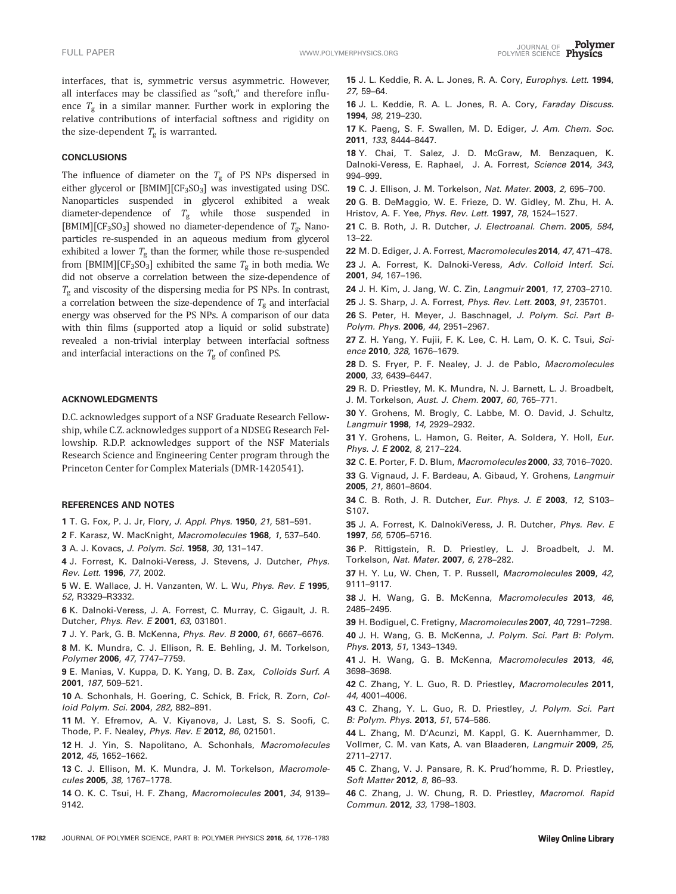interfaces, that is, symmetric versus asymmetric. However, all interfaces may be classified as "soft," and therefore influence  $T_g$  in a similar manner. Further work in exploring the relative contributions of interfacial softness and rigidity on the size-dependent  $T_g$  is warranted.

#### **CONCLUSIONS**

The influence of diameter on the  $T_g$  of PS NPs dispersed in either glycerol or [BMIM][CF<sub>3</sub>SO<sub>3</sub>] was investigated using DSC. Nanoparticles suspended in glycerol exhibited a weak diameter-dependence of  $T_g$  while those suspended in [BMIM][CF<sub>3</sub>SO<sub>3</sub>] showed no diameter-dependence of  $T<sub>g</sub>$ . Nanoparticles re-suspended in an aqueous medium from glycerol exhibited a lower  $T_g$  than the former, while those re-suspended from [BMIM][CF<sub>3</sub>SO<sub>3</sub>] exhibited the same  $T<sub>g</sub>$  in both media. We did not observe a correlation between the size-dependence of  $T_g$  and viscosity of the dispersing media for PS NPs. In contrast, a correlation between the size-dependence of  $T_{g}$  and interfacial energy was observed for the PS NPs. A comparison of our data with thin films (supported atop a liquid or solid substrate) revealed a non-trivial interplay between interfacial softness and interfacial interactions on the  $T_g$  of confined PS.

#### ACKNOWLEDGMENTS

D.C. acknowledges support of a NSF Graduate Research Fellowship, while C.Z. acknowledges support of a NDSEG Research Fellowship. R.D.P. acknowledges support of the NSF Materials Research Science and Engineering Center program through the Princeton Center for Complex Materials (DMR-1420541).

#### REFERENCES AND NOTES

1 T. G. Fox, P. J. Jr, Flory, J. Appl. Phys. 1950, 21, 581–591.

2 F. Karasz, W. MacKnight, Macromolecules 1968, 1, 537–540.

3 A. J. Kovacs, J. Polym. Sci. 1958, 30, 131–147.

4 J. Forrest, K. Dalnoki-Veress, J. Stevens, J. Dutcher, Phys. Rev. Lett. 1996, 77, 2002.

5 W. E. Wallace, J. H. Vanzanten, W. L. Wu, Phys. Rev. E 1995, 52, R3329–R3332.

6 K. Dalnoki-Veress, J. A. Forrest, C. Murray, C. Gigault, J. R. Dutcher, Phys. Rev. E 2001, 63, 031801.

7 J. Y. Park, G. B. McKenna, Phys. Rev. B 2000, 61, 6667-6676.

8 M. K. Mundra, C. J. Ellison, R. E. Behling, J. M. Torkelson, Polymer 2006, 47, 7747–7759.

9 E. Manias, V. Kuppa, D. K. Yang, D. B. Zax, Colloids Surf. A 2001, 187, 509–521.

10 A. Schonhals, H. Goering, C. Schick, B. Frick, R. Zorn, Colloid Polym. Sci. 2004, 282, 882–891.

11 M. Y. Efremov, A. V. Kiyanova, J. Last, S. S. Soofi, C. Thode, P. F. Nealey, Phys. Rev. E 2012, 86, 021501.

12 H. J. Yin, S. Napolitano, A. Schonhals, Macromolecules 2012, 45, 1652–1662.

13 C. J. Ellison, M. K. Mundra, J. M. Torkelson, Macromolecules 2005, 38, 1767–1778.

14 O. K. C. Tsui, H. F. Zhang, Macromolecules 2001, 34, 9139– 9142.

16 J. L. Keddie, R. A. L. Jones, R. A. Cory, Faraday Discuss. 1994, 98, 219–230.

17 K. Paeng, S. F. Swallen, M. D. Ediger, J. Am. Chem. Soc. 2011, 133, 8444–8447.

18 Y. Chai, T. Salez, J. D. McGraw, M. Benzaquen, K. Dalnoki-Veress, E. Raphael, J. A. Forrest, Science 2014, 343, 994–999.

19 C. J. Ellison, J. M. Torkelson, Nat. Mater. 2003, 2, 695-700.

20 G. B. DeMaggio, W. E. Frieze, D. W. Gidley, M. Zhu, H. A. Hristov, A. F. Yee, Phys. Rev. Lett. 1997, 78, 1524–1527.

21 C. B. Roth, J. R. Dutcher, J. Electroanal. Chem. 2005, 584, 13–22.

22 M. D. Ediger, J. A. Forrest, Macromolecules 2014, 47, 471–478.

23 J. A. Forrest, K. Dalnoki-Veress, Adv. Colloid Interf. Sci. 2001, 94, 167–196.

24 J. H. Kim, J. Jang, W. C. Zin, Langmuir 2001, 17, 2703–2710.

25 J. S. Sharp, J. A. Forrest, Phys. Rev. Lett. 2003, 91, 235701.

26 S. Peter, H. Meyer, J. Baschnagel, J. Polym. Sci. Part B-Polym. Phys. 2006, 44, 2951–2967.

27 Z. H. Yang, Y. Fujii, F. K. Lee, C. H. Lam, O. K. C. Tsui, Science 2010, 328, 1676–1679.

28 D. S. Fryer, P. F. Nealey, J. J. de Pablo, Macromolecules 2000, 33, 6439–6447.

29 R. D. Priestley, M. K. Mundra, N. J. Barnett, L. J. Broadbelt, J. M. Torkelson, Aust. J. Chem. 2007, 60, 765–771.

30 Y. Grohens, M. Brogly, C. Labbe, M. O. David, J. Schultz, Langmuir 1998, 14, 2929–2932.

31 Y. Grohens, L. Hamon, G. Reiter, A. Soldera, Y. Holl, Eur. Phys. J. E 2002, 8, 217-224.

32 C. E. Porter, F. D. Blum, Macromolecules 2000, 33, 7016–7020.

33 G. Vignaud, J. F. Bardeau, A. Gibaud, Y. Grohens, Langmuir 2005, 21, 8601–8604.

34 C. B. Roth, J. R. Dutcher, Eur. Phys. J. E 2003, 12, S103– S107.

35 J. A. Forrest, K. DalnokiVeress, J. R. Dutcher, Phys. Rev. E 1997, 56, 5705–5716.

36 P. Rittigstein, R. D. Priestley, L. J. Broadbelt, J. M. Torkelson, Nat. Mater. 2007, 6, 278–282.

37 H. Y. Lu, W. Chen, T. P. Russell, Macromolecules 2009, 42, 9111–9117.

38 J. H. Wang, G. B. McKenna, Macromolecules 2013, 46, 2485–2495.

39 H. Bodiguel, C. Fretigny, Macromolecules 2007, 40, 7291–7298.

40 J. H. Wang, G. B. McKenna, J. Polym. Sci. Part B: Polym. Phys. 2013, 51, 1343–1349.

41 J. H. Wang, G. B. McKenna, Macromolecules 2013, 46, 3698–3698.

42 C. Zhang, Y. L. Guo, R. D. Priestley, Macromolecules 2011, 44, 4001–4006.

43 C. Zhang, Y. L. Guo, R. D. Priestley, J. Polym. Sci. Part B: Polym. Phys. 2013, 51, 574–586.

44 L. Zhang, M. D'Acunzi, M. Kappl, G. K. Auernhammer, D. Vollmer, C. M. van Kats, A. van Blaaderen, Langmuir 2009, 25, 2711–2717.

45 C. Zhang, V. J. Pansare, R. K. Prud'homme, R. D. Priestley, Soft Matter 2012, 8, 86–93.

46 C. Zhang, J. W. Chung, R. D. Priestley, Macromol. Rapid Commun. 2012, 33, 1798–1803.